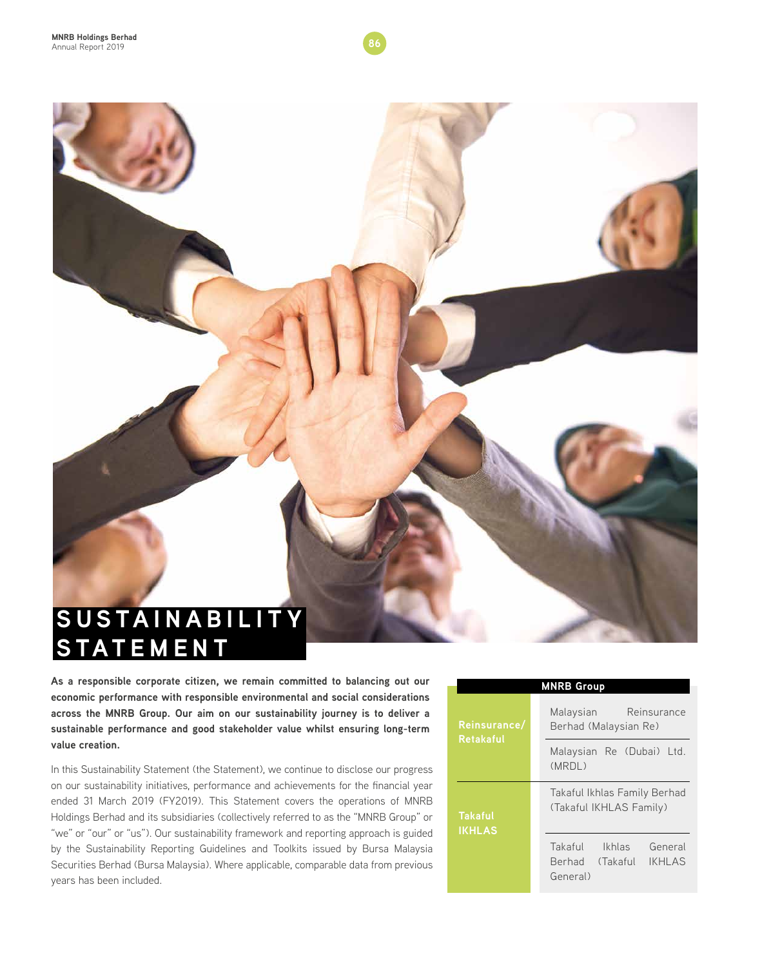

**As a responsible corporate citizen, we remain committed to balancing out our economic performance with responsible environmental and social considerations across the MNRB Group. Our aim on our sustainability journey is to deliver a sustainable performance and good stakeholder value whilst ensuring long-term value creation.** 

In this Sustainability Statement (the Statement), we continue to disclose our progress on our sustainability initiatives, performance and achievements for the financial year ended 31 March 2019 (FY2019). This Statement covers the operations of MNRB Holdings Berhad and its subsidiaries (collectively referred to as the "MNRB Group" or "we" or "our" or "us"). Our sustainability framework and reporting approach is guided by the Sustainability Reporting Guidelines and Toolkits issued by Bursa Malaysia Securities Berhad (Bursa Malaysia). Where applicable, comparable data from previous years has been included.

|                                  | <b>MNRB Group</b>                                                            |  |  |  |  |
|----------------------------------|------------------------------------------------------------------------------|--|--|--|--|
| Reinsurance/<br><b>Retakaful</b> | Reinsurance<br>Malaysian<br>Berhad (Malaysian Re)                            |  |  |  |  |
|                                  | Malaysian Re (Dubai) Ltd.<br>(MRDL)                                          |  |  |  |  |
| <b>Takaful</b><br><b>IKHLAS</b>  | Takaful Ikhlas Family Berhad<br>(Takaful IKHLAS Family)                      |  |  |  |  |
|                                  | Takaful<br>Ikhlas<br>General<br><b>IKHLAS</b><br>Berhad (Takaful<br>General) |  |  |  |  |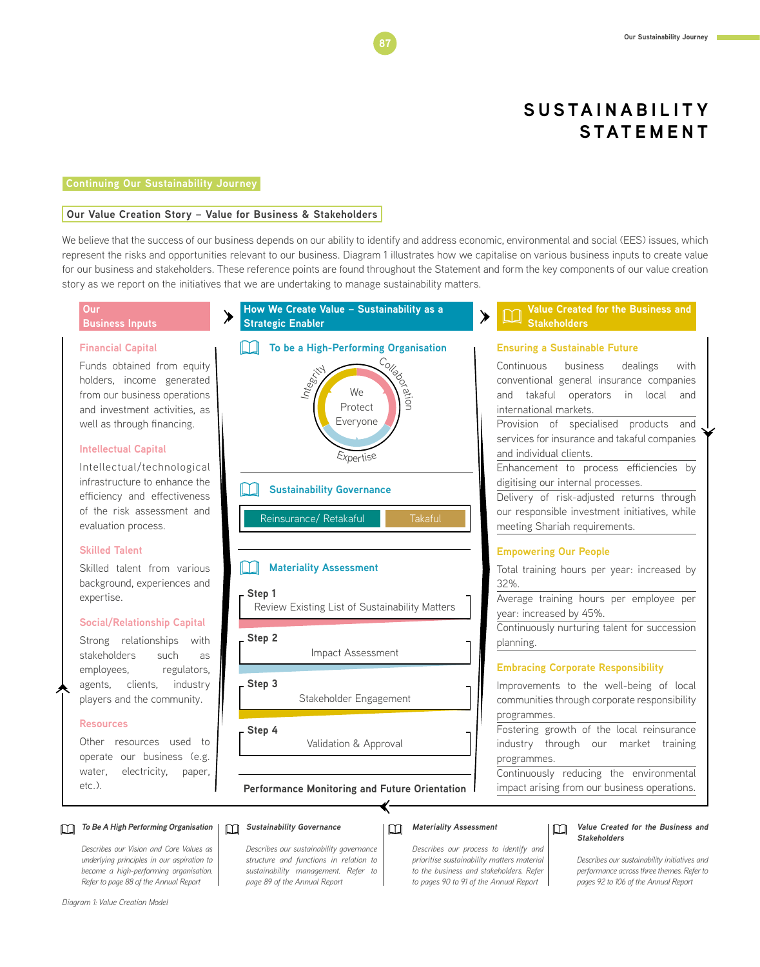#### **Continuing Our Sustainability Journey**

#### **Our Value Creation Story – Value for Business & Stakeholders**

We believe that the success of our business depends on our ability to identify and address economic, environmental and social (EES) issues, which represent the risks and opportunities relevant to our business. Diagram 1 illustrates how we capitalise on various business inputs to create value for our business and stakeholders. These reference points are found throughout the Statement and form the key components of our value creation story as we report on the initiatives that we are undertaking to manage sustainability matters.



*Describes our Vision and Core Values as underlying principles in our aspiration to become a high-performing organisation. Refer to page 88 of the Annual Report* 

*Describes our sustainability governance structure and functions in relation to sustainability management. Refer to page 89 of the Annual Report* 

*Describes our process to identify and prioritise sustainability matters material to the business and stakeholders. Refer to pages 90 to 91 of the Annual Report* 

### **Stakeholders**

*Describes our sustainability initiatives and performance across three themes. Refer to pages 92 to 106 of the Annual Report*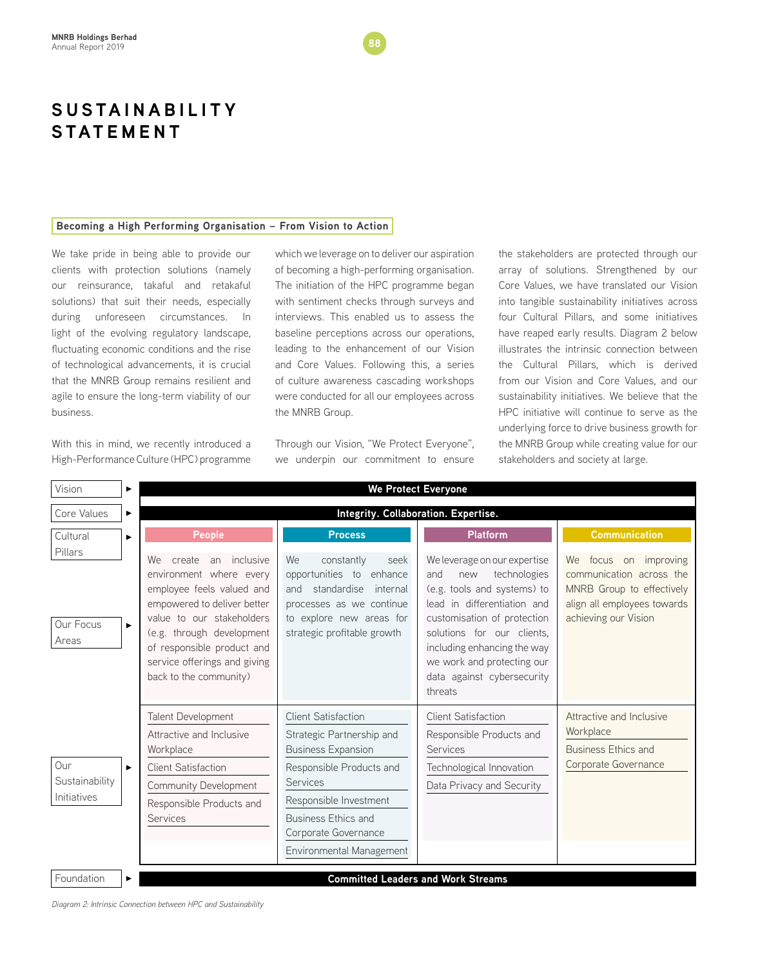#### **Becoming a High Performing Organisation – From Vision to Action**

We take pride in being able to provide our clients with protection solutions (namely our reinsurance, takaful and retakaful solutions) that suit their needs, especially during unforeseen circumstances. In light of the evolving regulatory landscape, fluctuating economic conditions and the rise of technological advancements, it is crucial that the MNRB Group remains resilient and agile to ensure the long-term viability of our business.

With this in mind, we recently introduced a High-Performance Culture (HPC) programme

which we leverage on to deliver our aspiration of becoming a high-performing organisation. The initiation of the HPC programme began with sentiment checks through surveys and interviews. This enabled us to assess the baseline perceptions across our operations, leading to the enhancement of our Vision and Core Values. Following this, a series of culture awareness cascading workshops were conducted for all our employees across the MNRB Group.

Through our Vision, "We Protect Everyone", we underpin our commitment to ensure the stakeholders are protected through our array of solutions. Strengthened by our Core Values, we have translated our Vision into tangible sustainability initiatives across four Cultural Pillars, and some initiatives have reaped early results. Diagram 2 below illustrates the intrinsic connection between the Cultural Pillars, which is derived from our Vision and Core Values, and our sustainability initiatives. We believe that the HPC initiative will continue to serve as the underlying force to drive business growth for the MNRB Group while creating value for our stakeholders and society at large.

| Vision                               | ▶ | We Protect Everyone                                                                                                                                                                                                                                                  |                                                                                                                                                                                                                                                 |                                                                                                                                                                                                                                                                                             |                                                                                                                                          |  |  |
|--------------------------------------|---|----------------------------------------------------------------------------------------------------------------------------------------------------------------------------------------------------------------------------------------------------------------------|-------------------------------------------------------------------------------------------------------------------------------------------------------------------------------------------------------------------------------------------------|---------------------------------------------------------------------------------------------------------------------------------------------------------------------------------------------------------------------------------------------------------------------------------------------|------------------------------------------------------------------------------------------------------------------------------------------|--|--|
| Core Values                          | ► | Integrity. Collaboration. Expertise.                                                                                                                                                                                                                                 |                                                                                                                                                                                                                                                 |                                                                                                                                                                                                                                                                                             |                                                                                                                                          |  |  |
| Cultural                             |   | <b>People</b>                                                                                                                                                                                                                                                        | <b>Process</b>                                                                                                                                                                                                                                  | <b>Platform</b>                                                                                                                                                                                                                                                                             | <b>Communication</b>                                                                                                                     |  |  |
| Pillars<br>Our Focus<br>Areas        |   | create an inclusive<br>We .<br>environment where every<br>employee feels valued and<br>empowered to deliver better<br>value to our stakeholders<br>(e.g. through development<br>of responsible product and<br>service offerings and giving<br>back to the community) | We<br>constantly<br>seek<br>opportunities to enhance<br>standardise<br>internal<br>and<br>processes as we continue<br>to explore new areas for<br>strategic profitable growth                                                                   | We leverage on our expertise<br>technologies<br>and<br>new<br>(e.g. tools and systems) to<br>lead in differentiation and<br>customisation of protection<br>solutions for our clients,<br>including enhancing the way<br>we work and protecting our<br>data against cybersecurity<br>threats | focus on improving<br>We<br>communication across the<br>MNRB Group to effectively<br>align all employees towards<br>achieving our Vision |  |  |
| Our<br>Sustainability<br>Initiatives |   | Talent Development<br>Attractive and Inclusive<br>Workplace<br><b>Client Satisfaction</b><br>Community Development<br>Responsible Products and<br><b>Services</b>                                                                                                    | <b>Client Satisfaction</b><br>Strategic Partnership and<br><b>Business Expansion</b><br>Responsible Products and<br><b>Services</b><br>Responsible Investment<br><b>Business Ethics and</b><br>Corporate Governance<br>Environmental Management | <b>Client Satisfaction</b><br>Responsible Products and<br><b>Services</b><br>Technological Innovation<br>Data Privacy and Security                                                                                                                                                          | Attractive and Inclusive<br>Workplace<br><b>Business Ethics and</b><br>Corporate Governance                                              |  |  |
| Foundation                           |   |                                                                                                                                                                                                                                                                      |                                                                                                                                                                                                                                                 | <b>Committed Leaders and Work Streams</b>                                                                                                                                                                                                                                                   |                                                                                                                                          |  |  |

*Diagram 2: Intrinsic Connection between HPC and Sustainability*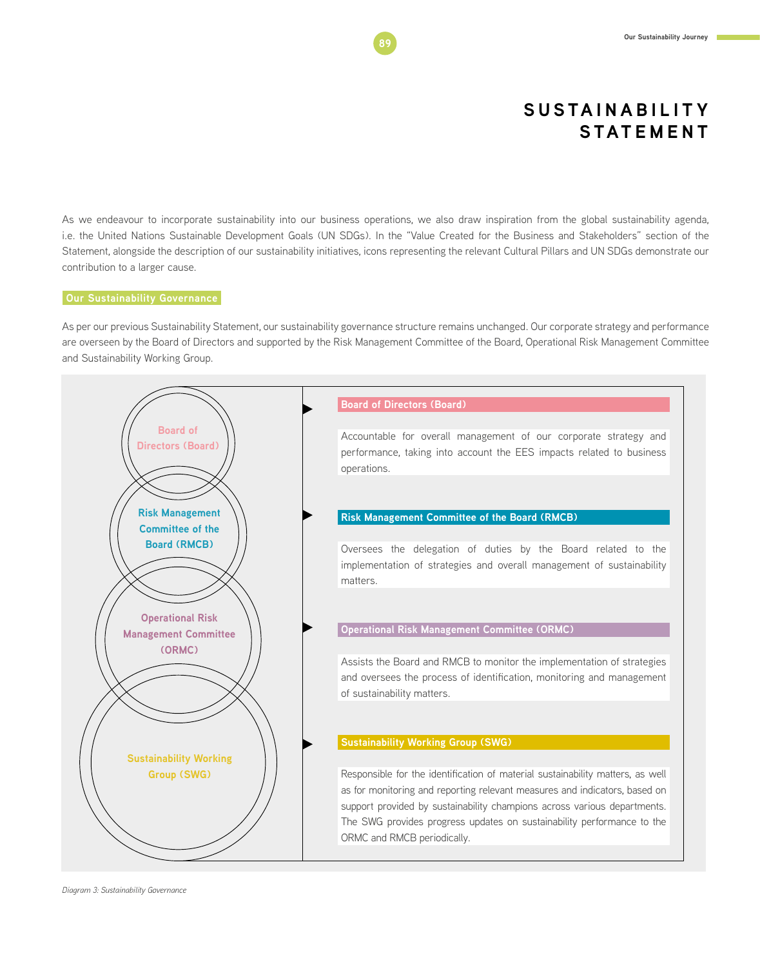As we endeavour to incorporate sustainability into our business operations, we also draw inspiration from the global sustainability agenda, i.e. the United Nations Sustainable Development Goals (UN SDGs). In the "Value Created for the Business and Stakeholders" section of the Statement, alongside the description of our sustainability initiatives, icons representing the relevant Cultural Pillars and UN SDGs demonstrate our contribution to a larger cause.

#### **Our Sustainability Governance**

As per our previous Sustainability Statement, our sustainability governance structure remains unchanged. Our corporate strategy and performance are overseen by the Board of Directors and supported by the Risk Management Committee of the Board, Operational Risk Management Committee and Sustainability Working Group.

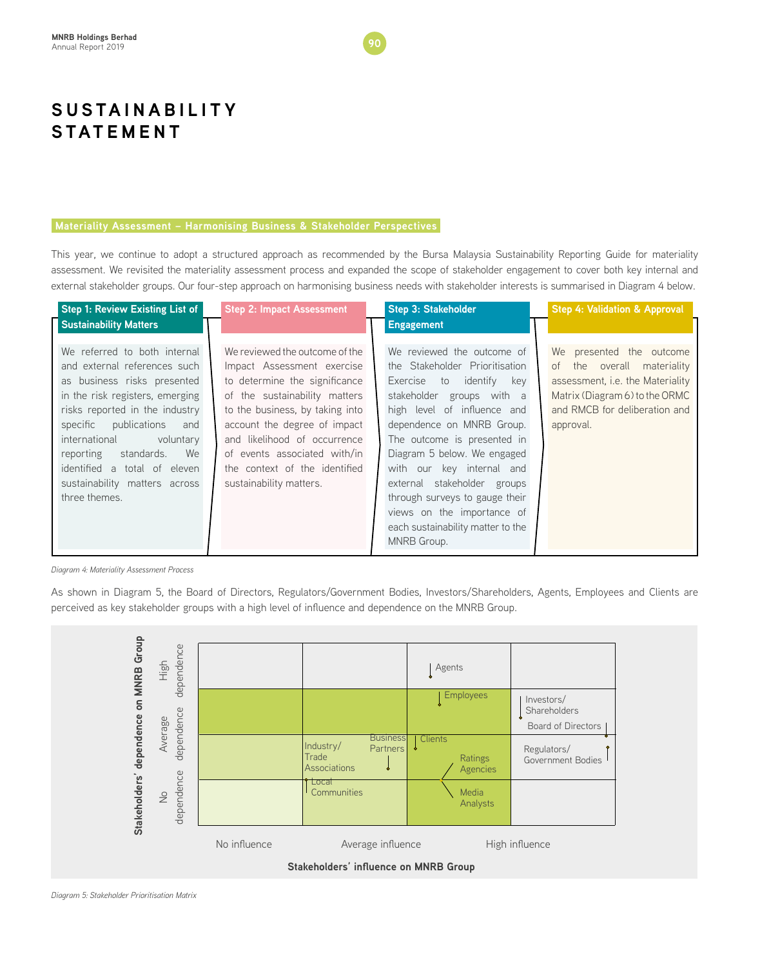#### **Materiality Assessment – Harmonising Business & Stakeholder Perspectives**

This year, we continue to adopt a structured approach as recommended by the Bursa Malaysia Sustainability Reporting Guide for materiality assessment. We revisited the materiality assessment process and expanded the scope of stakeholder engagement to cover both key internal and external stakeholder groups. Our four-step approach on harmonising business needs with stakeholder interests is summarised in Diagram 4 below.

| Step 1: Review Existing List of                                                                                                                                                                                                                                                                                                                      | <b>Step 2: Impact Assessment</b>                                                                                                                                                                                                                                                                                              | <b>Step 3: Stakeholder</b>                                                                                                                                                                                                                                                                                                                                                                                                                            | <b>Step 4: Validation &amp; Approval</b>                                                                                                                                      |
|------------------------------------------------------------------------------------------------------------------------------------------------------------------------------------------------------------------------------------------------------------------------------------------------------------------------------------------------------|-------------------------------------------------------------------------------------------------------------------------------------------------------------------------------------------------------------------------------------------------------------------------------------------------------------------------------|-------------------------------------------------------------------------------------------------------------------------------------------------------------------------------------------------------------------------------------------------------------------------------------------------------------------------------------------------------------------------------------------------------------------------------------------------------|-------------------------------------------------------------------------------------------------------------------------------------------------------------------------------|
| <b>Sustainability Matters</b>                                                                                                                                                                                                                                                                                                                        |                                                                                                                                                                                                                                                                                                                               | <b>Engagement</b>                                                                                                                                                                                                                                                                                                                                                                                                                                     |                                                                                                                                                                               |
| We referred to both internal<br>and external references such<br>as business risks presented<br>in the risk registers, emerging<br>risks reported in the industry<br>publications<br>specific<br>and<br>international<br>voluntary<br>standards.<br>We<br>reporting<br>identified a total of eleven<br>sustainability matters across<br>three themes. | We reviewed the outcome of the<br>Impact Assessment exercise<br>to determine the significance<br>of the sustainability matters<br>to the business, by taking into<br>account the degree of impact<br>and likelihood of occurrence<br>of events associated with/in<br>the context of the identified<br>sustainability matters. | We reviewed the outcome of<br>the Stakeholder Prioritisation<br>identify<br>Exercise<br>$\overline{10}$<br>key<br>stakeholder groups with a<br>high level of influence and<br>dependence on MNRB Group.<br>The outcome is presented in<br>Diagram 5 below. We engaged<br>with our key internal and<br>external stakeholder groups<br>through surveys to gauge their<br>views on the importance of<br>each sustainability matter to the<br>MNRB Group. | We presented the outcome<br>the overall materiality<br>of<br>assessment, i.e. the Materiality<br>Matrix (Diagram 6) to the ORMC<br>and RMCB for deliberation and<br>approval. |

*Diagram 4: Materiality Assessment Process*

As shown in Diagram 5, the Board of Directors, Regulators/Government Bodies, Investors/Shareholders, Agents, Employees and Clients are perceived as key stakeholder groups with a high level of influence and dependence on the MNRB Group.

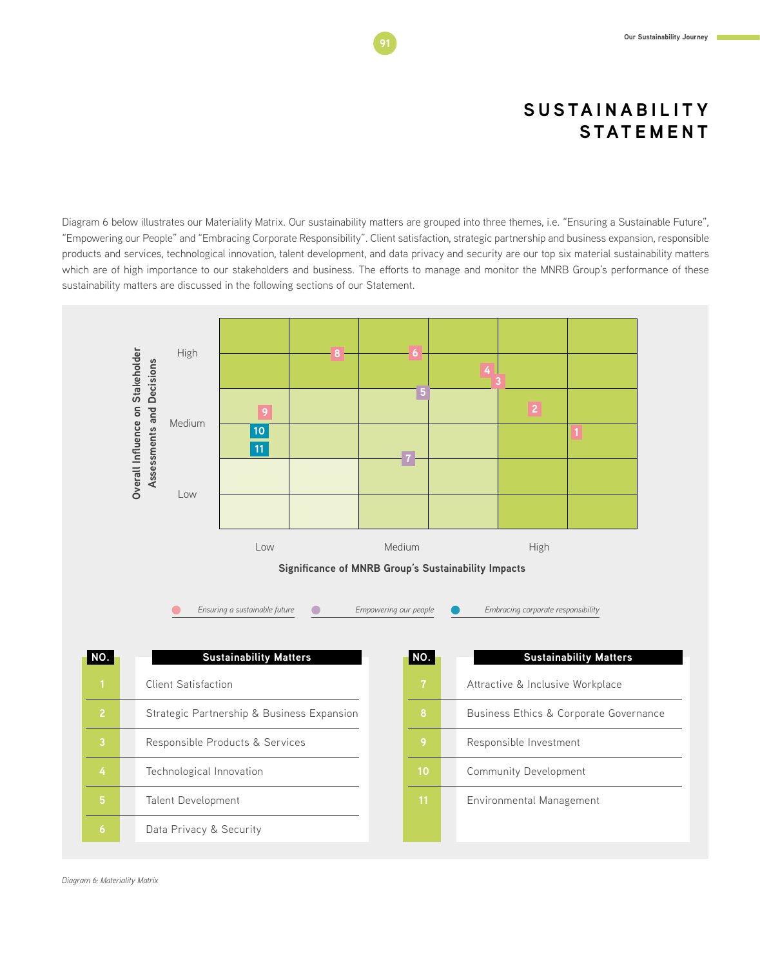**Our Sustainability Journey** 

### **S U S TA I N A B I L I T Y STATEMENT**

Diagram 6 below illustrates our Materiality Matrix. Our sustainability matters are grouped into three themes, i.e. "Ensuring a Sustainable Future", "Empowering our People" and "Embracing Corporate Responsibility". Client satisfaction, strategic partnership and business expansion, responsible products and services, technological innovation, talent development, and data privacy and security are our top six material sustainability matters which are of high importance to our stakeholders and business. The efforts to manage and monitor the MNRB Group's performance of these sustainability matters are discussed in the following sections of our Statement.



*Diagram 6: Materiality Matrix*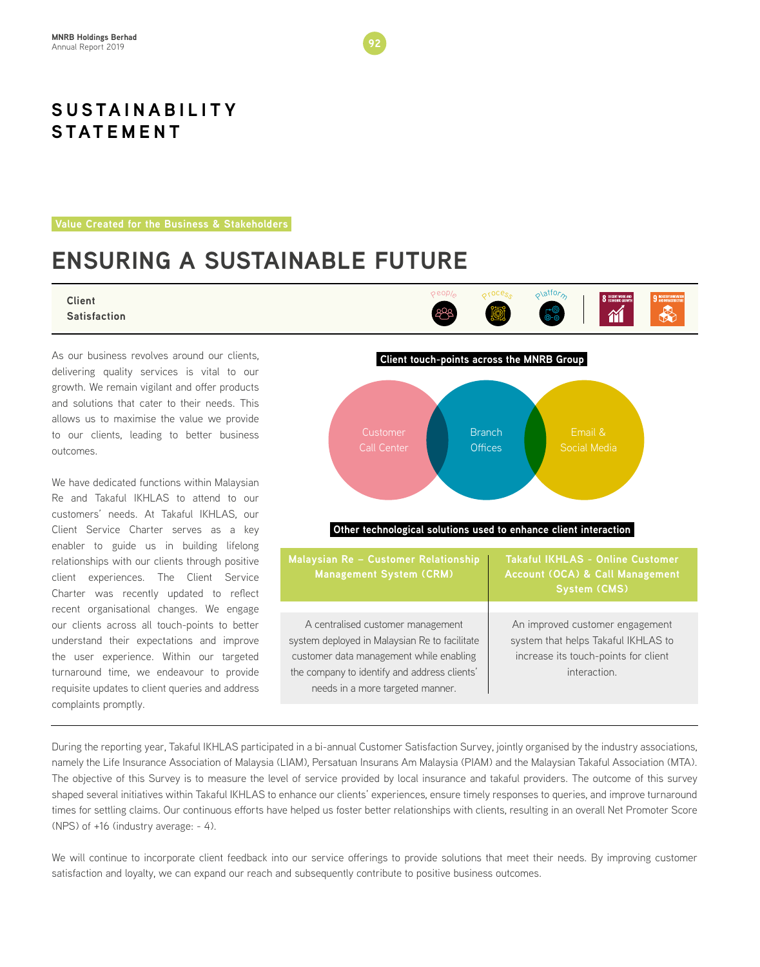**Value Created for the Business & Stakeholders**

# **ENSURING A SUSTAINABLE FUTURE**

#### **Client Satisfaction**

As our business revolves around our clients, delivering quality services is vital to our growth. We remain vigilant and offer products and solutions that cater to their needs. This allows us to maximise the value we provide to our clients, leading to better business outcomes.

We have dedicated functions within Malaysian Re and Takaful IKHLAS to attend to our customers' needs. At Takaful IKHLAS, our Client Service Charter serves as a key enabler to guide us in building lifelong relationships with our clients through positive client experiences. The Client Service Charter was recently updated to reflect recent organisational changes. We engage our clients across all touch-points to better understand their expectations and improve the user experience. Within our targeted turnaround time, we endeavour to provide requisite updates to client queries and address complaints promptly.



९<sup>९०८e</sup>९

Pe<sup>o</sup>pl<sup>e</sup>

Platform

 $\mathbf{\hat{M}}$ 

R

A centralised customer management system deployed in Malaysian Re to facilitate customer data management while enabling the company to identify and address clients' needs in a more targeted manner.

An improved customer engagement system that helps Takaful IKHLAS to increase its touch-points for client interaction.

During the reporting year, Takaful IKHLAS participated in a bi-annual Customer Satisfaction Survey, jointly organised by the industry associations, namely the Life Insurance Association of Malaysia (LIAM), Persatuan Insurans Am Malaysia (PIAM) and the Malaysian Takaful Association (MTA). The objective of this Survey is to measure the level of service provided by local insurance and takaful providers. The outcome of this survey shaped several initiatives within Takaful IKHLAS to enhance our clients' experiences, ensure timely responses to queries, and improve turnaround times for settling claims. Our continuous efforts have helped us foster better relationships with clients, resulting in an overall Net Promoter Score (NPS) of +16 (industry average: - 4).

We will continue to incorporate client feedback into our service offerings to provide solutions that meet their needs. By improving customer satisfaction and loyalty, we can expand our reach and subsequently contribute to positive business outcomes.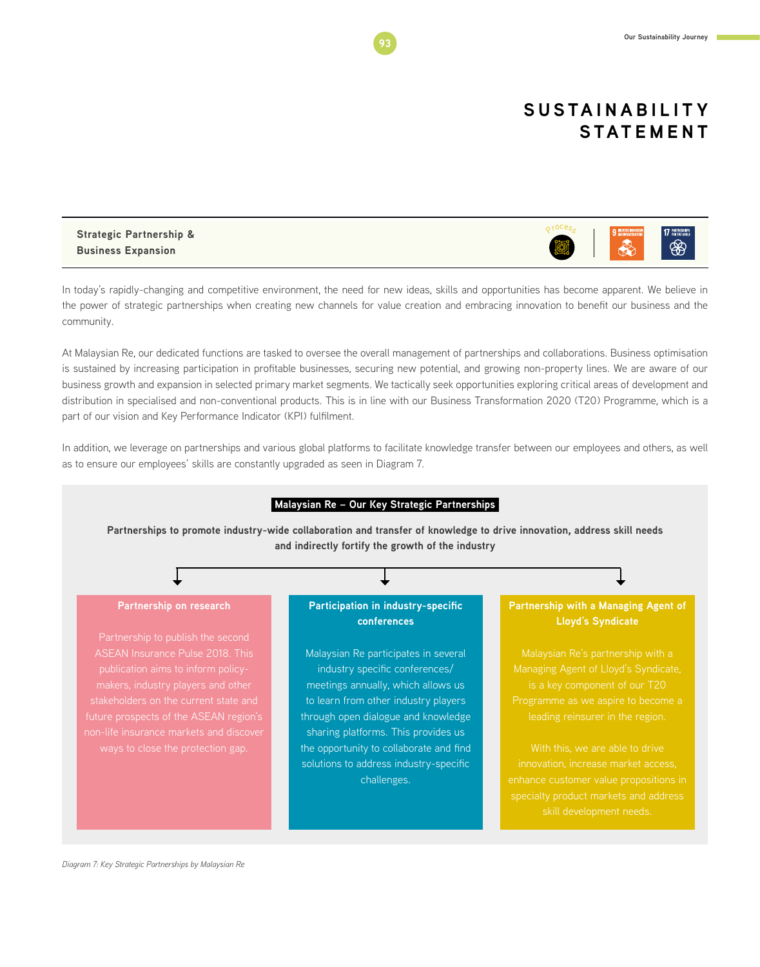#### **Strategic Partnership & Business Expansion**

In today's rapidly-changing and competitive environment, the need for new ideas, skills and opportunities has become apparent. We believe in the power of strategic partnerships when creating new channels for value creation and embracing innovation to benefit our business and the community.

At Malaysian Re, our dedicated functions are tasked to oversee the overall management of partnerships and collaborations. Business optimisation is sustained by increasing participation in profitable businesses, securing new potential, and growing non-property lines. We are aware of our business growth and expansion in selected primary market segments. We tactically seek opportunities exploring critical areas of development and distribution in specialised and non-conventional products. This is in line with our Business Transformation 2020 (T20) Programme, which is a part of our vision and Key Performance Indicator (KPI) fulfilment.

In addition, we leverage on partnerships and various global platforms to facilitate knowledge transfer between our employees and others, as well as to ensure our employees' skills are constantly upgraded as seen in Diagram 7.

#### **Malaysian Re – Our Key Strategic Partnerships**

**Partnerships to promote industry-wide collaboration and transfer of knowledge to drive innovation, address skill needs and indirectly fortify the growth of the industry**

#### **Partnership on research** Partnership to publish the second publication aims to inform policyfuture prospects of the ASEAN region's non-life insurance markets and discover **Participation in industry-specific conferences**  Malaysian Re participates in several industry specific conferences/ meetings annually, which allows us to learn from other industry players through open dialogue and knowledge sharing platforms. This provides us the opportunity to collaborate and find solutions to address industry-specific challenges. **Partnership with a Managing Agent of Lloyd's Syndicate** Managing Agent of Lloyd's Syndicate, With this, we are able to drive innovation, increase market access, enhance customer value propositions in specialty product markets and address skill development needs.

*Diagram 7: Key Strategic Partnerships by Malaysian Re*

९<sup>roce</sup>९०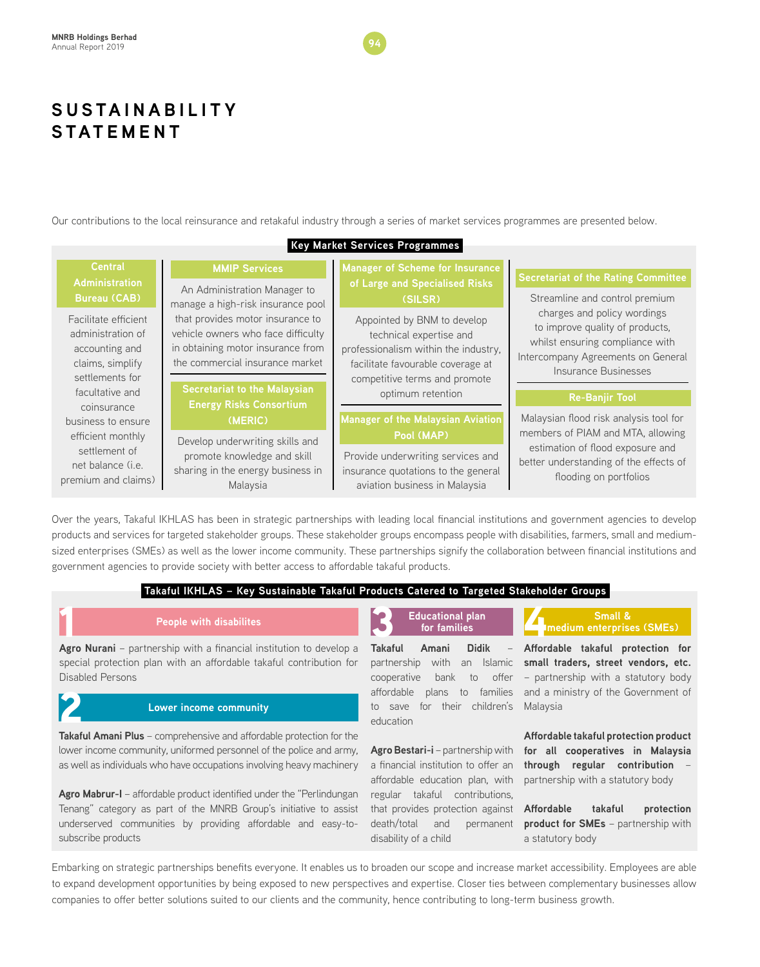Our contributions to the local reinsurance and retakaful industry through a series of market services programmes are presented below.

| <b>Key Market Services Programmes</b>                                                                                                                                                                     |                                                                                                                                                                                |                                                                                                                                                                      |                                                                                                                                                                 |  |  |
|-----------------------------------------------------------------------------------------------------------------------------------------------------------------------------------------------------------|--------------------------------------------------------------------------------------------------------------------------------------------------------------------------------|----------------------------------------------------------------------------------------------------------------------------------------------------------------------|-----------------------------------------------------------------------------------------------------------------------------------------------------------------|--|--|
| <b>Central</b><br><b>Administration</b>                                                                                                                                                                   | <b>MMIP Services</b><br>An Administration Manager to                                                                                                                           | <b>Manager of Scheme for Insurance</b><br>of Large and Specialised Risks                                                                                             | <b>Secretariat of the Rating Committee</b>                                                                                                                      |  |  |
| <b>Bureau (CAB)</b>                                                                                                                                                                                       | manage a high-risk insurance pool                                                                                                                                              | (SILSR)                                                                                                                                                              | Streamline and control premium                                                                                                                                  |  |  |
| Facilitate efficient<br>administration of<br>accounting and<br>claims, simplify<br>settlements for                                                                                                        | that provides motor insurance to<br>vehicle owners who face difficulty<br>in obtaining motor insurance from<br>the commercial insurance market<br>Secretariat to the Malaysian | Appointed by BNM to develop<br>technical expertise and<br>professionalism within the industry,<br>facilitate favourable coverage at<br>competitive terms and promote | charges and policy wordings<br>to improve quality of products,<br>whilst ensuring compliance with<br>Intercompany Agreements on General<br>Insurance Businesses |  |  |
| facultative and                                                                                                                                                                                           |                                                                                                                                                                                | optimum retention                                                                                                                                                    | <b>Re-Banjir Tool</b>                                                                                                                                           |  |  |
| coinsurance<br>business to ensure                                                                                                                                                                         | <b>Energy Risks Consortium</b><br>(MERIC)                                                                                                                                      | <b>Manager of the Malaysian Aviation</b>                                                                                                                             | Malaysian flood risk analysis tool for                                                                                                                          |  |  |
| efficient monthly<br>Develop underwriting skills and<br>settlement of<br>promote knowledge and skill<br>net balance ( <i>i.e.</i><br>sharing in the energy business in<br>premium and claims)<br>Malaysia | Pool (MAP)<br>Provide underwriting services and<br>insurance quotations to the general<br>aviation business in Malaysia                                                        | members of PIAM and MTA, allowing<br>estimation of flood exposure and<br>better understanding of the effects of<br>flooding on portfolios                            |                                                                                                                                                                 |  |  |

Over the years, Takaful IKHLAS has been in strategic partnerships with leading local financial institutions and government agencies to develop products and services for targeted stakeholder groups. These stakeholder groups encompass people with disabilities, farmers, small and mediumsized enterprises (SMEs) as well as the lower income community. These partnerships signify the collaboration between financial institutions and government agencies to provide society with better access to affordable takaful products.

#### **Takaful IKHLAS – Key Sustainable Takaful Products Catered to Targeted Stakeholder Groups**

**Agro Nurani** – partnership with disabilites<br> **Agro Nurani** – partnership with a financial institution to develop a special protection plan with an affordable takaful contribution for Disabled Persons

### **Lower income community**

**Takaful Amani Plus** – comprehensive and affordable protection for the lower income community, uniformed personnel of the police and army, as well as individuals who have occupations involving heavy machinery 2

**Agro Mabrur-I** – affordable product identified under the "Perlindungan Tenang" category as part of the MNRB Group's initiative to assist underserved communities by providing affordable and easy-tosubscribe products

**Takaful Amani Didik** – partnership with an Islamic cooperative bank to offer affordable plans to families to save for their children's education **Educational plan**  3 4

**for families** 

**Agro Bestari-i** – partnership with a financial institution to offer an affordable education plan, with regular takaful contributions, that provides protection against death/total and permanent disability of a child

#### **Small & medium enterprises (SMEs)**

**Affordable takaful protection for small traders, street vendors, etc.** – partnership with a statutory body and a ministry of the Government of Malaysia

**Affordable takaful protection product for all cooperatives in Malaysia through regular contribution** – partnership with a statutory body

**Affordable takaful protection product for SMEs** – partnership with a statutory body

Embarking on strategic partnerships benefits everyone. It enables us to broaden our scope and increase market accessibility. Employees are able to expand development opportunities by being exposed to new perspectives and expertise. Closer ties between complementary businesses allow companies to offer better solutions suited to our clients and the community, hence contributing to long-term business growth.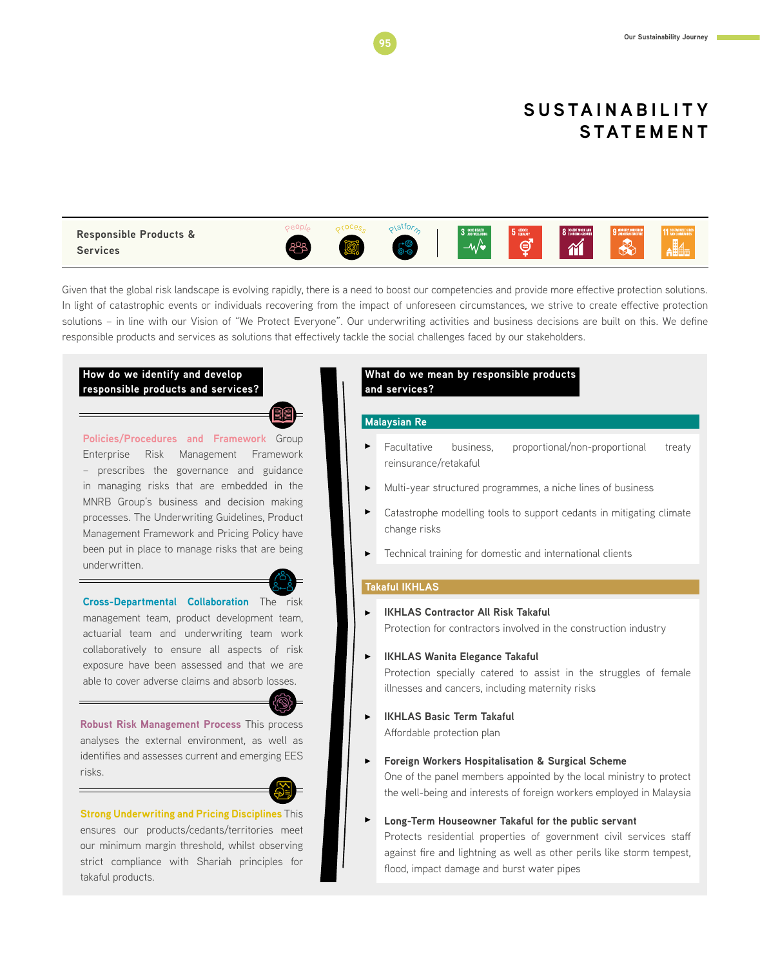

Given that the global risk landscape is evolving rapidly, there is a need to boost our competencies and provide more effective protection solutions. In light of catastrophic events or individuals recovering from the impact of unforeseen circumstances, we strive to create effective protection solutions – in line with our Vision of "We Protect Everyone". Our underwriting activities and business decisions are built on this. We define responsible products and services as solutions that effectively tackle the social challenges faced by our stakeholders.

#### **How do we identify and develop responsible products and services?**

**Policies/Procedures and Framework** Group Enterprise Risk Management Framework – prescribes the governance and guidance in managing risks that are embedded in the MNRB Group's business and decision making processes. The Underwriting Guidelines, Product Management Framework and Pricing Policy have been put in place to manage risks that are being underwritten.



**Cross-Departmental Collaboration** The risk management team, product development team, actuarial team and underwriting team work collaboratively to ensure all aspects of risk exposure have been assessed and that we are able to cover adverse claims and absorb losses.



**Robust Risk Management Process** This process analyses the external environment, as well as identifies and assesses current and emerging EES risks.



**Strong Underwriting and Pricing Disciplines** This ensures our products/cedants/territories meet our minimum margin threshold, whilst observing strict compliance with Shariah principles for takaful products.

#### **What do we mean by responsible products and services?**

#### **Malaysian Re**

- Facultative business, proportional/non-proportional treaty reinsurance/retakaful
- Multi-year structured programmes, a niche lines of business
- Catastrophe modelling tools to support cedants in mitigating climate change risks
- Technical training for domestic and international clients

#### **Takaful IKHLAS**

- **IKHLAS Contractor All Risk Takaful** Protection for contractors involved in the construction industry
- **IKHLAS Wanita Elegance Takaful**  Protection specially catered to assist in the struggles of female
	- illnesses and cancers, including maternity risks
- **IKHLAS Basic Term Takaful**  Affordable protection plan
- **Foreign Workers Hospitalisation & Surgical Scheme** One of the panel members appointed by the local ministry to protect the well-being and interests of foreign workers employed in Malaysia
- $\blacktriangleright$ **Long-Term Houseowner Takaful for the public servant** Protects residential properties of government civil services staff against fire and lightning as well as other perils like storm tempest, flood, impact damage and burst water pipes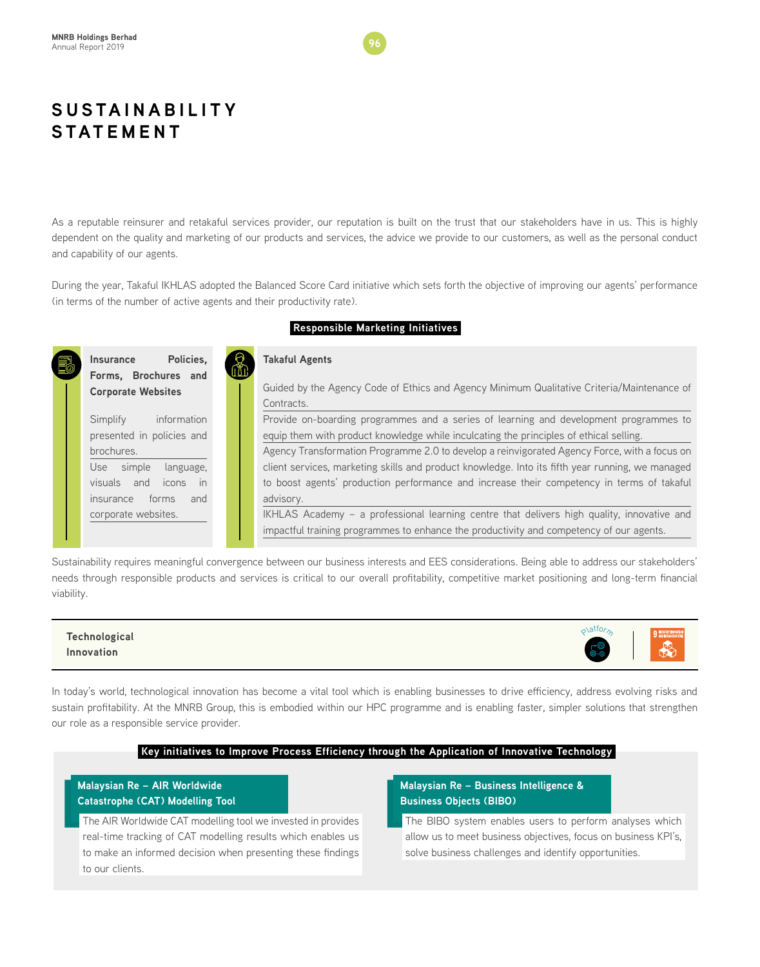As a reputable reinsurer and retakaful services provider, our reputation is built on the trust that our stakeholders have in us. This is highly dependent on the quality and marketing of our products and services, the advice we provide to our customers, as well as the personal conduct and capability of our agents.

During the year, Takaful IKHLAS adopted the Balanced Score Card initiative which sets forth the objective of improving our agents' performance (in terms of the number of active agents and their productivity rate).

**Responsible Marketing Initiatives**

#### **Insurance Policies, Forms, Brochures and Corporate Websites**  Simplify information presented in policies and brochures. Use simple language, visuals and icons in insurance forms and corporate websites. **Takaful Agents**  Guided by the Agency Code of Ethics and Agency Minimum Qualitative Criteria/Maintenance of **Contracts** Provide on-boarding programmes and a series of learning and development programmes to equip them with product knowledge while inculcating the principles of ethical selling. Agency Transformation Programme 2.0 to develop a reinvigorated Agency Force, with a focus on client services, marketing skills and product knowledge. Into its fifth year running, we managed to boost agents' production performance and increase their competency in terms of takaful advisory. IKHLAS Academy – a professional learning centre that delivers high quality, innovative and impactful training programmes to enhance the productivity and competency of our agents.

Sustainability requires meaningful convergence between our business interests and EES considerations. Being able to address our stakeholders' needs through responsible products and services is critical to our overall profitability, competitive market positioning and long-term financial viability.

### **Technological Innovation**

In today's world, technological innovation has become a vital tool which is enabling businesses to drive efficiency, address evolving risks and sustain profitability. At the MNRB Group, this is embodied within our HPC programme and is enabling faster, simpler solutions that strengthen our role as a responsible service provider.

#### **Key initiatives to Improve Process Efficiency through the Application of Innovative Technology**

### **Malaysian Re – AIR Worldwide Catastrophe (CAT) Modelling Tool**

The AIR Worldwide CAT modelling tool we invested in provides real-time tracking of CAT modelling results which enables us to make an informed decision when presenting these findings to our clients.

#### **Malaysian Re – Business Intelligence & Business Objects (BIBO)**

The BIBO system enables users to perform analyses which allow us to meet business objectives, focus on business KPI's, solve business challenges and identify opportunities.

 $\rho$ latfor<sub>n</sub>

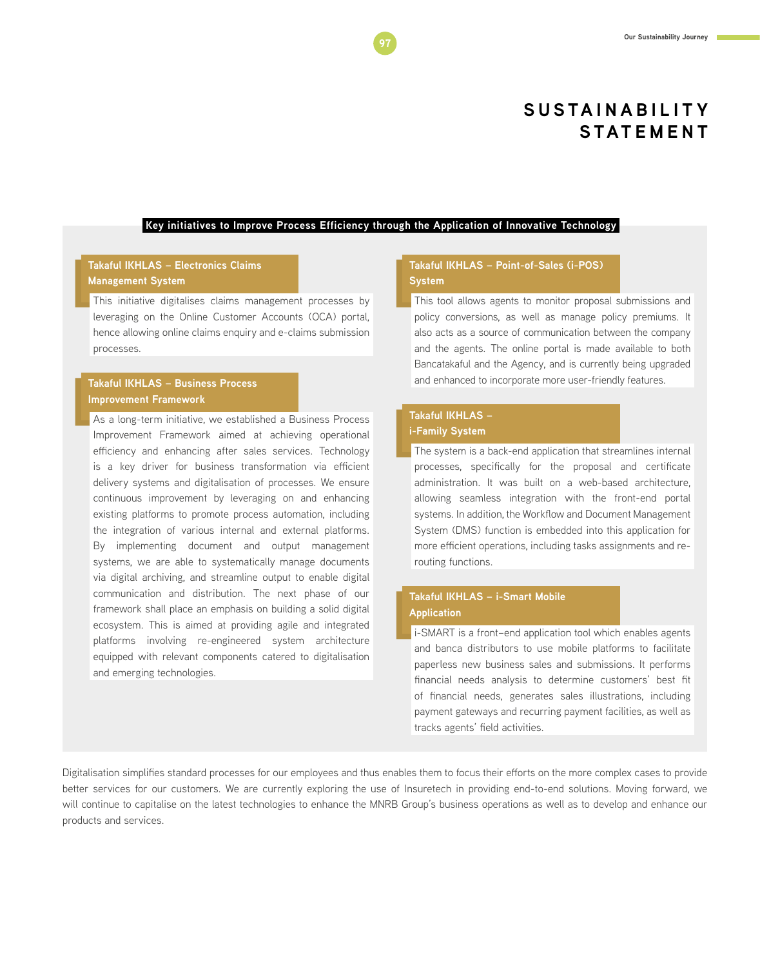#### **Key initiatives to Improve Process Efficiency through the Application of Innovative Technology**

#### **Takaful IKHLAS – Electronics Claims Management System**

This initiative digitalises claims management processes by leveraging on the Online Customer Accounts (OCA) portal, hence allowing online claims enquiry and e-claims submission processes.

#### **Takaful IKHLAS – Business Process Improvement Framework**

As a long-term initiative, we established a Business Process Improvement Framework aimed at achieving operational efficiency and enhancing after sales services. Technology is a key driver for business transformation via efficient delivery systems and digitalisation of processes. We ensure continuous improvement by leveraging on and enhancing existing platforms to promote process automation, including the integration of various internal and external platforms. By implementing document and output management systems, we are able to systematically manage documents via digital archiving, and streamline output to enable digital communication and distribution. The next phase of our framework shall place an emphasis on building a solid digital ecosystem. This is aimed at providing agile and integrated platforms involving re-engineered system architecture equipped with relevant components catered to digitalisation and emerging technologies.

#### **Takaful IKHLAS – Point-of-Sales (i-POS) System**

This tool allows agents to monitor proposal submissions and policy conversions, as well as manage policy premiums. It also acts as a source of communication between the company and the agents. The online portal is made available to both Bancatakaful and the Agency, and is currently being upgraded and enhanced to incorporate more user-friendly features.

#### **Takaful IKHLAS – i-Family System**

The system is a back-end application that streamlines internal processes, specifically for the proposal and certificate administration. It was built on a web-based architecture, allowing seamless integration with the front-end portal systems. In addition, the Workflow and Document Management System (DMS) function is embedded into this application for more efficient operations, including tasks assignments and rerouting functions.

### **Takaful IKHLAS – i-Smart Mobile Application**

i-SMART is a front–end application tool which enables agents and banca distributors to use mobile platforms to facilitate paperless new business sales and submissions. It performs financial needs analysis to determine customers' best fit of financial needs, generates sales illustrations, including payment gateways and recurring payment facilities, as well as tracks agents' field activities.

Digitalisation simplifies standard processes for our employees and thus enables them to focus their efforts on the more complex cases to provide better services for our customers. We are currently exploring the use of Insuretech in providing end-to-end solutions. Moving forward, we will continue to capitalise on the latest technologies to enhance the MNRB Group's business operations as well as to develop and enhance our products and services.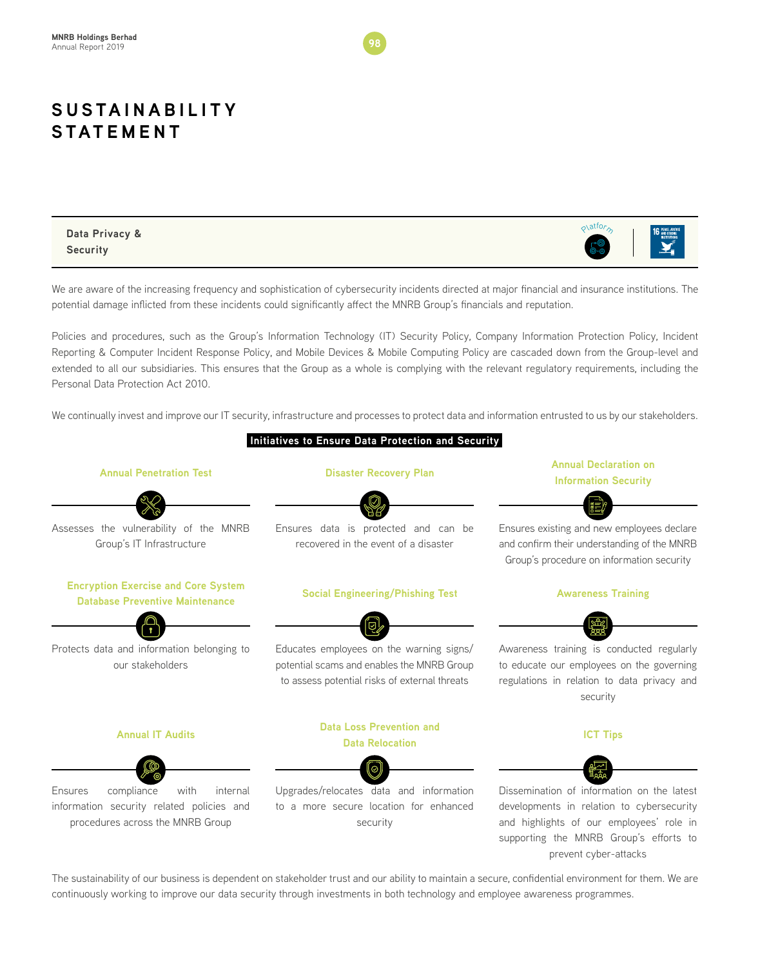**Data Privacy & Security**



We are aware of the increasing frequency and sophistication of cybersecurity incidents directed at major financial and insurance institutions. The potential damage inflicted from these incidents could significantly affect the MNRB Group's financials and reputation.

Policies and procedures, such as the Group's Information Technology (IT) Security Policy, Company Information Protection Policy, Incident Reporting & Computer Incident Response Policy, and Mobile Devices & Mobile Computing Policy are cascaded down from the Group-level and extended to all our subsidiaries. This ensures that the Group as a whole is complying with the relevant regulatory requirements, including the Personal Data Protection Act 2010.

We continually invest and improve our IT security, infrastructure and processes to protect data and information entrusted to us by our stakeholders.



The sustainability of our business is dependent on stakeholder trust and our ability to maintain a secure, confidential environment for them. We are continuously working to improve our data security through investments in both technology and employee awareness programmes.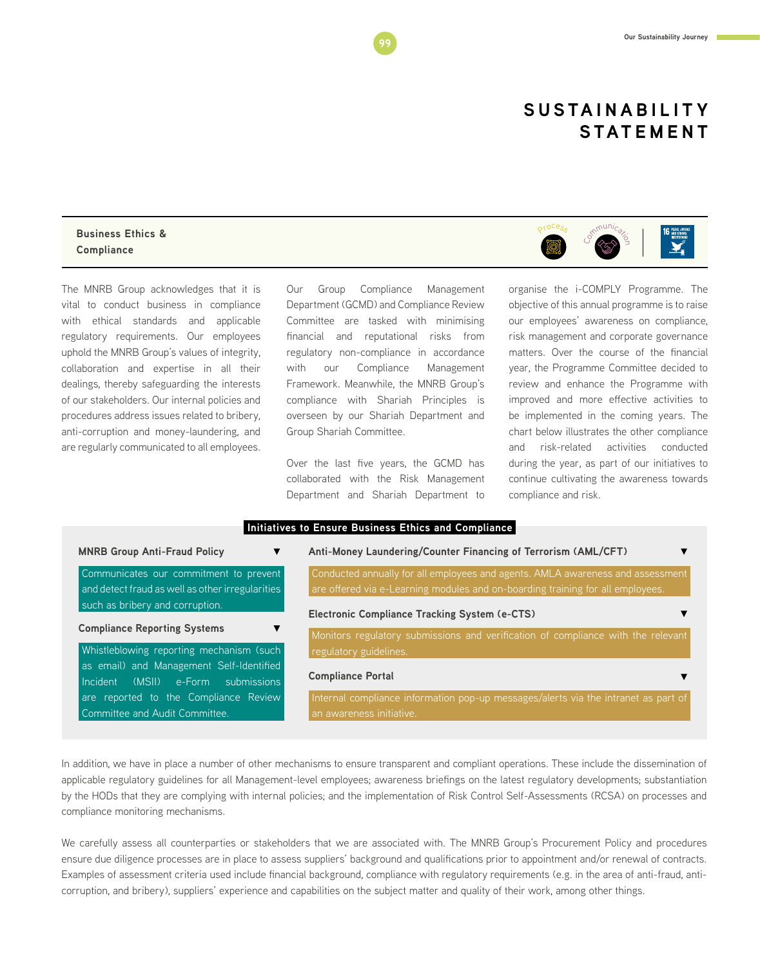#### **Business Ethics & Compliance**

The MNRB Group acknowledges that it is vital to conduct business in compliance with ethical standards and applicable regulatory requirements. Our employees uphold the MNRB Group's values of integrity, collaboration and expertise in all their dealings, thereby safeguarding the interests of our stakeholders. Our internal policies and procedures address issues related to bribery, anti-corruption and money-laundering, and are regularly communicated to all employees.

Our Group Compliance Management Department (GCMD) and Compliance Review Committee are tasked with minimising financial and reputational risks from regulatory non-compliance in accordance with our Compliance Management Framework. Meanwhile, the MNRB Group's compliance with Shariah Principles is overseen by our Shariah Department and Group Shariah Committee.

Over the last five years, the GCMD has collaborated with the Risk Management Department and Shariah Department to



organise the i-COMPLY Programme. The objective of this annual programme is to raise our employees' awareness on compliance, risk management and corporate governance matters. Over the course of the financial year, the Programme Committee decided to review and enhance the Programme with improved and more effective activities to be implemented in the coming years. The chart below illustrates the other compliance and risk-related activities conducted during the year, as part of our initiatives to continue cultivating the awareness towards compliance and risk.

|   | Initiatives to Ensure Business Ethics and Compliance I |  |  |                                                                                                                                                                                                           |  |  |  |  |  |  |
|---|--------------------------------------------------------|--|--|-----------------------------------------------------------------------------------------------------------------------------------------------------------------------------------------------------------|--|--|--|--|--|--|
|   |                                                        |  |  |                                                                                                                                                                                                           |  |  |  |  |  |  |
| . |                                                        |  |  | $\blacksquare$ , $\blacksquare$ , $\blacksquare$ , $\blacksquare$ , $\blacksquare$ , $\blacksquare$ , $\blacksquare$ , $\blacksquare$ , $\blacksquare$ , $\blacksquare$ , $\blacksquare$ , $\blacksquare$ |  |  |  |  |  |  |

| <b>MNRB Group Anti-Fraud Policy</b>                                               | Anti-Money Laundering/Counter Financing of Terrorism (AML/CFT)                                                                           |
|-----------------------------------------------------------------------------------|------------------------------------------------------------------------------------------------------------------------------------------|
| Communicates our commitment to prevent                                            | Conducted annually for all employees and agents. AMLA awareness and assessment                                                           |
| and detect fraud as well as other irregularities                                  | are offered via e-Learning modules and on-boarding training for all employees.                                                           |
| such as bribery and corruption.                                                   |                                                                                                                                          |
| <b>Compliance Reporting Systems</b>                                               | <b>Electronic Compliance Tracking System (e-CTS)</b><br>Monitors regulatory submissions and verification of compliance with the relevant |
| Whistleblowing reporting mechanism (such                                          | regulatory guidelines.                                                                                                                   |
| as email) and Management Self-Identified<br>submissions<br>Incident (MSII) e-Form | <b>Compliance Portal</b>                                                                                                                 |
| are reported to the Compliance Review<br>Committee and Audit Committee.           | Internal compliance information pop-up messages/alerts via the intranet as part of<br>an awareness initiative.                           |

In addition, we have in place a number of other mechanisms to ensure transparent and compliant operations. These include the dissemination of applicable regulatory guidelines for all Management-level employees; awareness briefings on the latest regulatory developments; substantiation by the HODs that they are complying with internal policies; and the implementation of Risk Control Self-Assessments (RCSA) on processes and compliance monitoring mechanisms.

We carefully assess all counterparties or stakeholders that we are associated with. The MNRB Group's Procurement Policy and procedures ensure due diligence processes are in place to assess suppliers' background and qualifications prior to appointment and/or renewal of contracts. Examples of assessment criteria used include financial background, compliance with regulatory requirements (e.g. in the area of anti-fraud, anticorruption, and bribery), suppliers' experience and capabilities on the subject matter and quality of their work, among other things.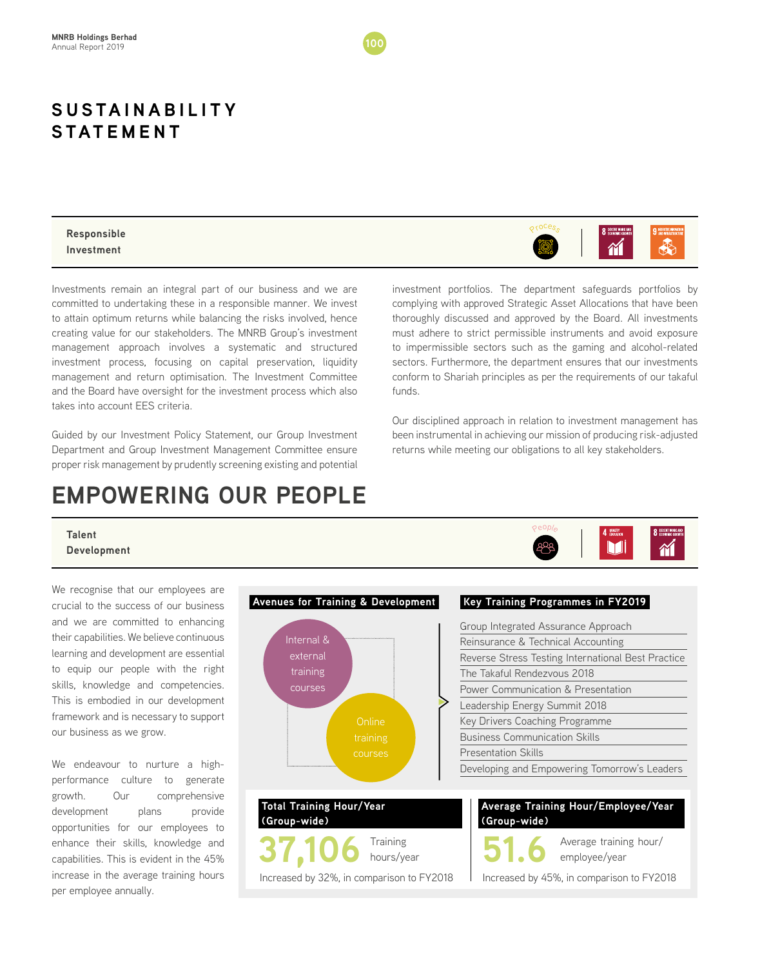#### **Responsible Investment**

Investments remain an integral part of our business and we are committed to undertaking these in a responsible manner. We invest to attain optimum returns while balancing the risks involved, hence creating value for our stakeholders. The MNRB Group's investment management approach involves a systematic and structured investment process, focusing on capital preservation, liquidity management and return optimisation. The Investment Committee and the Board have oversight for the investment process which also takes into account EES criteria.

Guided by our Investment Policy Statement, our Group Investment Department and Group Investment Management Committee ensure proper risk management by prudently screening existing and potential

# **EMPOWERING OUR PEOPLE**

investment portfolios. The department safeguards portfolios by complying with approved Strategic Asset Allocations that have been thoroughly discussed and approved by the Board. All investments must adhere to strict permissible instruments and avoid exposure to impermissible sectors such as the gaming and alcohol-related sectors. Furthermore, the department ensures that our investments conform to Shariah principles as per the requirements of our takaful funds.

Our disciplined approach in relation to investment management has been instrumental in achieving our mission of producing risk-adjusted returns while meeting our obligations to all key stakeholders.

Pe<sup>o</sup>pl<sup>e</sup>

#### **Talent Development**

We recognise that our employees are crucial to the success of our business and we are committed to enhancing their capabilities. We believe continuous learning and development are essential to equip our people with the right skills, knowledge and competencies. This is embodied in our development framework and is necessary to support our business as we grow.

We endeavour to nurture a highperformance culture to generate growth. Our comprehensive development plans provide opportunities for our employees to enhance their skills, knowledge and capabilities. This is evident in the 45% increase in the average training hours per employee annually.





8 DECENT WORK A  $\mathbf{\hat{M}}$ 

Mi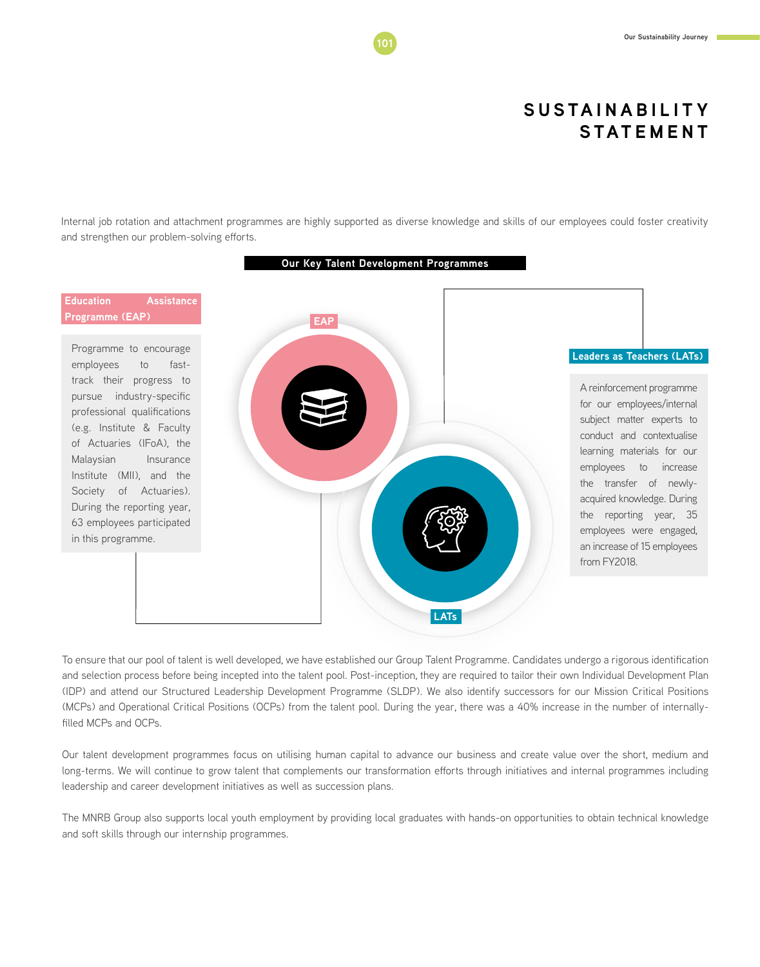Internal job rotation and attachment programmes are highly supported as diverse knowledge and skills of our employees could foster creativity and strengthen our problem-solving efforts.



To ensure that our pool of talent is well developed, we have established our Group Talent Programme. Candidates undergo a rigorous identification and selection process before being incepted into the talent pool. Post-inception, they are required to tailor their own Individual Development Plan (IDP) and attend our Structured Leadership Development Programme (SLDP). We also identify successors for our Mission Critical Positions (MCPs) and Operational Critical Positions (OCPs) from the talent pool. During the year, there was a 40% increase in the number of internallyfilled MCPs and OCPs.

Our talent development programmes focus on utilising human capital to advance our business and create value over the short, medium and long-terms. We will continue to grow talent that complements our transformation efforts through initiatives and internal programmes including leadership and career development initiatives as well as succession plans.

The MNRB Group also supports local youth employment by providing local graduates with hands-on opportunities to obtain technical knowledge and soft skills through our internship programmes.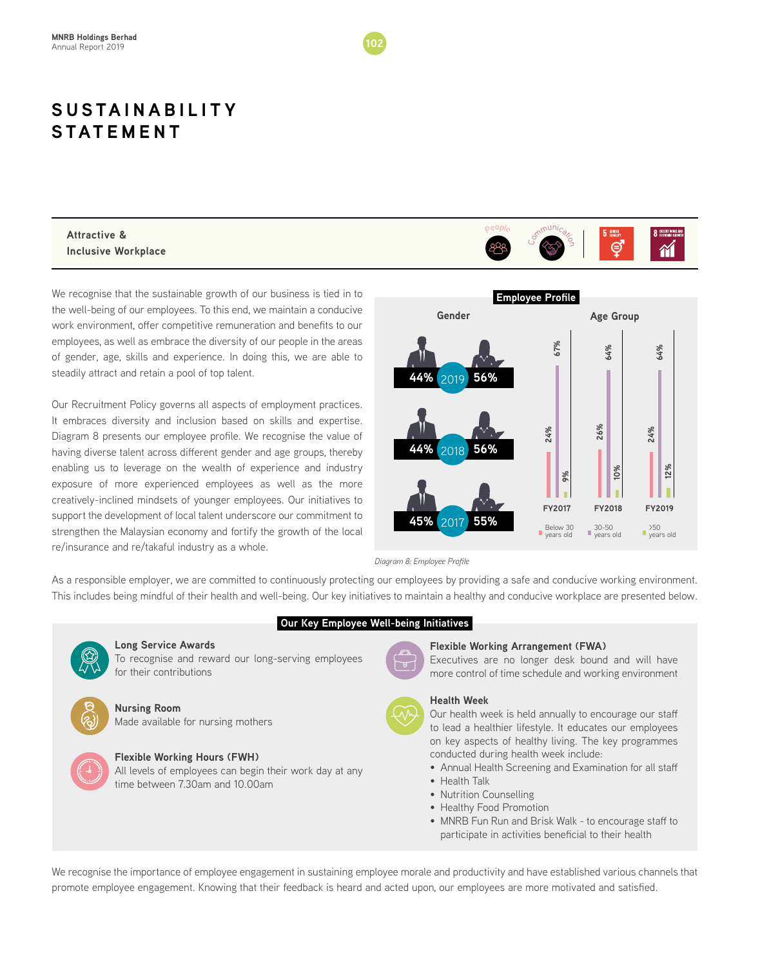

**Attractive & Inclusive Workplace**

We recognise that the sustainable growth of our business is tied in to the well-being of our employees. To this end, we maintain a conducive work environment, offer competitive remuneration and benefits to our employees, as well as embrace the diversity of our people in the areas of gender, age, skills and experience. In doing this, we are able to steadily attract and retain a pool of top talent.

Our Recruitment Policy governs all aspects of employment practices. It embraces diversity and inclusion based on skills and expertise. Diagram 8 presents our employee profile. We recognise the value of having diverse talent across different gender and age groups, thereby enabling us to leverage on the wealth of experience and industry exposure of more experienced employees as well as the more creatively-inclined mindsets of younger employees. Our initiatives to support the development of local talent underscore our commitment to strengthen the Malaysian economy and fortify the growth of the local re/insurance and re/takaful industry as a whole.





*Diagram 8: Employee Profile*

As a responsible employer, we are committed to continuously protecting our employees by providing a safe and conducive working environment. This includes being mindful of their health and well-being. Our key initiatives to maintain a healthy and conducive workplace are presented below.



**Long Service Awards**

To recognise and reward our long-serving employees for their contributions

#### **Nursing Room**

Made available for nursing mothers

#### **Flexible Working Hours (FWH)**

All levels of employees can begin their work day at any time between 7.30am and 10.00am

#### **Our Key Employee Well-being Initiatives**



#### **Flexible Working Arrangement (FWA)**

Executives are no longer desk bound and will have more control of time schedule and working environment

#### **Health Week**

Our health week is held annually to encourage our staff to lead a healthier lifestyle. It educates our employees on key aspects of healthy living. The key programmes conducted during health week include:

- Annual Health Screening and Examination for all staff
- Health Talk
- Nutrition Counselling
- Healthy Food Promotion
- MNRB Fun Run and Brisk Walk to encourage staff to participate in activities beneficial to their health

We recognise the importance of employee engagement in sustaining employee morale and productivity and have established various channels that promote employee engagement. Knowing that their feedback is heard and acted upon, our employees are more motivated and satisfied.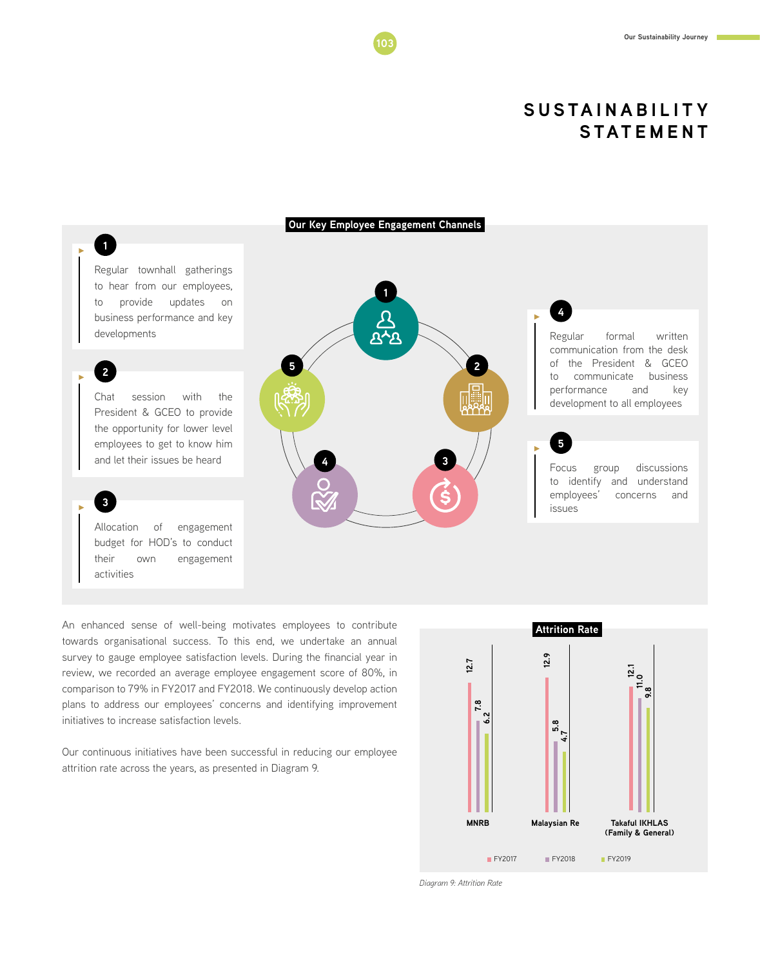

An enhanced sense of well-being motivates employees to contribute towards organisational success. To this end, we undertake an annual survey to gauge employee satisfaction levels. During the financial year in review, we recorded an average employee engagement score of 80%, in comparison to 79% in FY2017 and FY2018. We continuously develop action plans to address our employees' concerns and identifying improvement initiatives to increase satisfaction levels.

Our continuous initiatives have been successful in reducing our employee attrition rate across the years, as presented in Diagram 9.



*Diagram 9: Attrition Rate*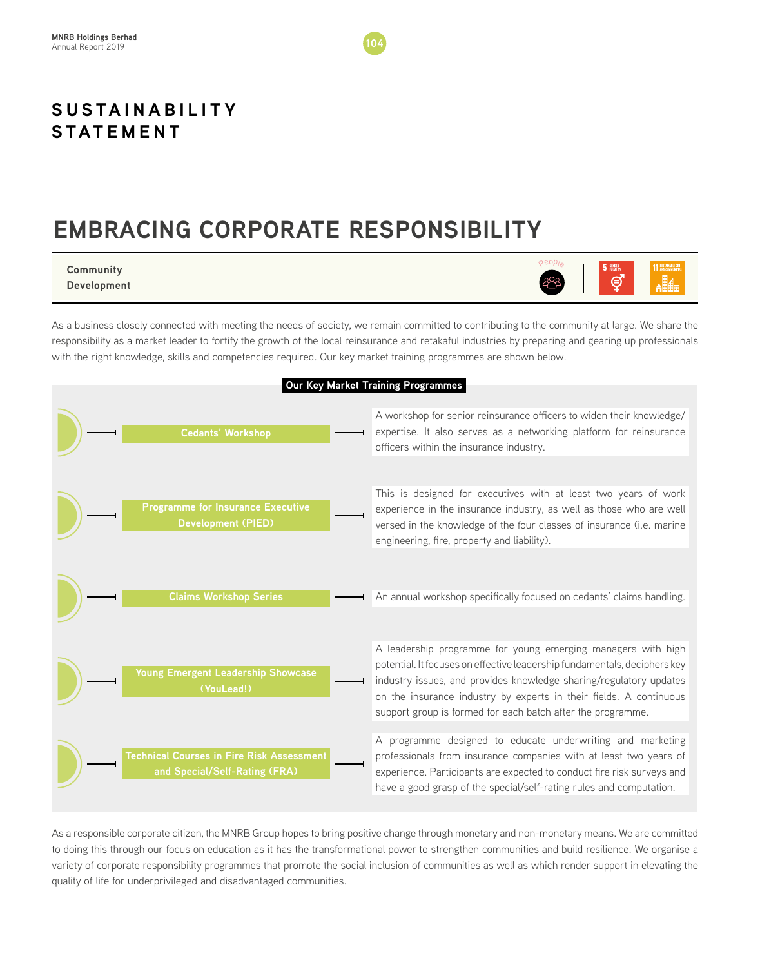# **EMBRACING CORPORATE RESPONSIBILITY**

#### **Community Development**



As a business closely connected with meeting the needs of society, we remain committed to contributing to the community at large. We share the responsibility as a market leader to fortify the growth of the local reinsurance and retakaful industries by preparing and gearing up professionals with the right knowledge, skills and competencies required. Our key market training programmes are shown below.



As a responsible corporate citizen, the MNRB Group hopes to bring positive change through monetary and non-monetary means. We are committed to doing this through our focus on education as it has the transformational power to strengthen communities and build resilience. We organise a variety of corporate responsibility programmes that promote the social inclusion of communities as well as which render support in elevating the quality of life for underprivileged and disadvantaged communities.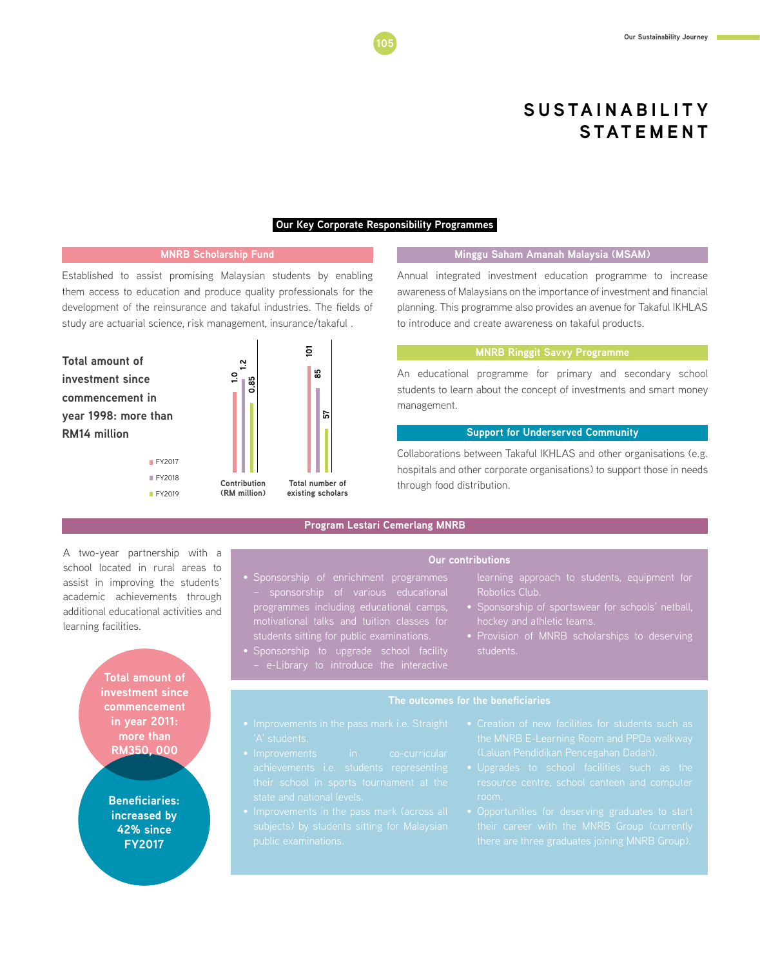#### **Our Key Corporate Responsibility Programmes**

#### **MNRB Scholarship Fund**

Established to assist promising Malaysian students by enabling them access to education and produce quality professionals for the development of the reinsurance and takaful industries. The fields of study are actuarial science, risk management, insurance/takaful .





#### **Minggu Saham Amanah Malaysia (MSAM)**

Annual integrated investment education programme to increase awareness of Malaysians on the importance of investment and financial planning. This programme also provides an avenue for Takaful IKHLAS to introduce and create awareness on takaful products.

#### **MNRB Ringgit Savvy Programme**

An educational programme for primary and secondary school students to learn about the concept of investments and smart money management.

#### **Support for Underserved Community**

Collaborations between Takaful IKHLAS and other organisations (e.g. hospitals and other corporate organisations) to support those in needs through food distribution.

A two-year partnership with a school located in rural areas to assist in improving the students' academic achievements through additional educational activities and learning facilities.

**FY2017**  $EY2018$ **FY2019** 

**Total amount of investment since commencement in year 2011: more than RM350, 000**

**Beneficiaries: increased by 42% since FY2017**

#### **Program Lestari Cemerlang MNRB**

#### **Our contributions**

- motivational talks and tuition classes for students sitting for public examinations.
- Robotics Club. hockey and athletic teams.

learning approach to students, equipment for

- students.
- Sponsorship to upgrade school facility

#### **The outcomes for the beneficiaries**

- 
- 
- 
- 
- 
-